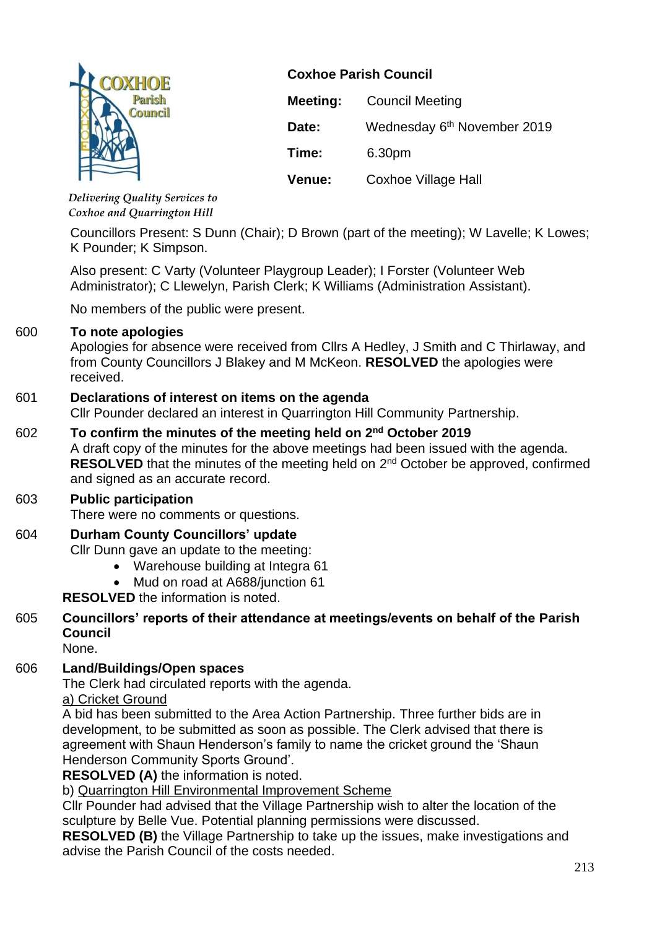

**Coxhoe Parish Council**

| Meeting: | <b>Council Meeting</b>                  |
|----------|-----------------------------------------|
| Date:    | Wednesday 6 <sup>th</sup> November 2019 |
| Time:    | 6.30pm                                  |
| Venue:   | Coxhoe Village Hall                     |

*Delivering Quality Services to Coxhoe and Quarrington Hill*

Councillors Present: S Dunn (Chair); D Brown (part of the meeting); W Lavelle; K Lowes; K Pounder; K Simpson.

Also present: C Varty (Volunteer Playgroup Leader); I Forster (Volunteer Web Administrator); C Llewelyn, Parish Clerk; K Williams (Administration Assistant).

No members of the public were present.

# 600 **To note apologies**

Apologies for absence were received from Cllrs A Hedley, J Smith and C Thirlaway, and from County Councillors J Blakey and M McKeon. **RESOLVED** the apologies were received.

# 601 **Declarations of interest on items on the agenda**

Cllr Pounder declared an interest in Quarrington Hill Community Partnership.

# 602 **To confirm the minutes of the meeting held on 2 nd October 2019**

A draft copy of the minutes for the above meetings had been issued with the agenda. **RESOLVED** that the minutes of the meeting held on 2<sup>nd</sup> October be approved, confirmed and signed as an accurate record.

# 603 **Public participation**

There were no comments or questions.

# 604 **Durham County Councillors' update**

Cllr Dunn gave an update to the meeting:

- Warehouse building at Integra 61
- Mud on road at A688/junction 61

**RESOLVED** the information is noted.

# 605 **Councillors' reports of their attendance at meetings/events on behalf of the Parish Council**

None.

# 606 **Land/Buildings/Open spaces**

The Clerk had circulated reports with the agenda.

a) Cricket Ground

A bid has been submitted to the Area Action Partnership. Three further bids are in development, to be submitted as soon as possible. The Clerk advised that there is agreement with Shaun Henderson's family to name the cricket ground the 'Shaun Henderson Community Sports Ground'.

**RESOLVED (A)** the information is noted.

b) Quarrington Hill Environmental Improvement Scheme

Cllr Pounder had advised that the Village Partnership wish to alter the location of the sculpture by Belle Vue. Potential planning permissions were discussed.

**RESOLVED (B)** the Village Partnership to take up the issues, make investigations and advise the Parish Council of the costs needed.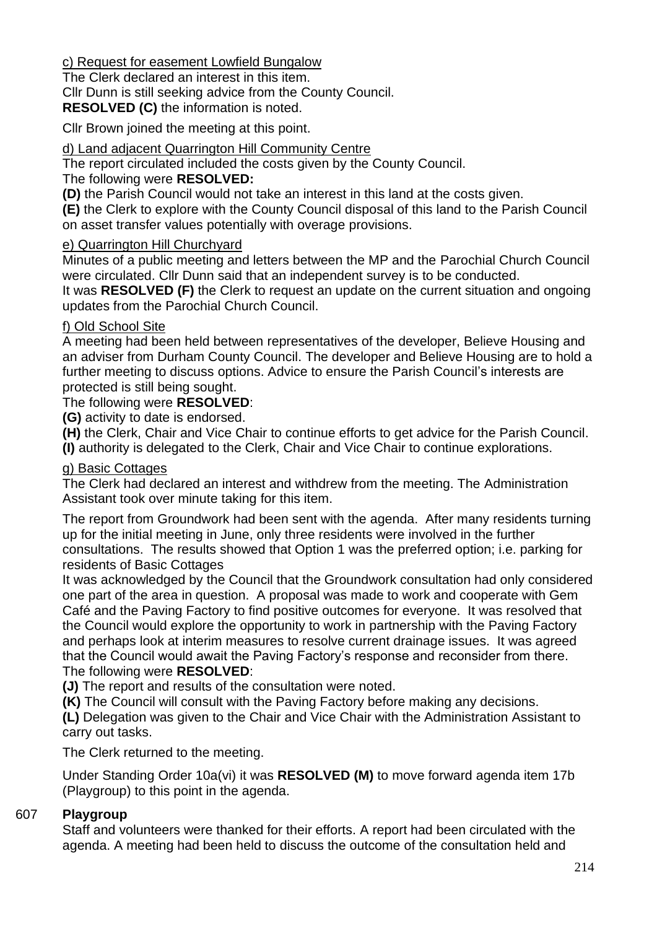c) Request for easement Lowfield Bungalow

The Clerk declared an interest in this item.

Cllr Dunn is still seeking advice from the County Council.

**RESOLVED (C)** the information is noted.

Cllr Brown joined the meeting at this point.

### d) Land adjacent Quarrington Hill Community Centre

The report circulated included the costs given by the County Council.

### The following were **RESOLVED:**

**(D)** the Parish Council would not take an interest in this land at the costs given.

**(E)** the Clerk to explore with the County Council disposal of this land to the Parish Council on asset transfer values potentially with overage provisions.

### e) Quarrington Hill Churchyard

Minutes of a public meeting and letters between the MP and the Parochial Church Council were circulated. Cllr Dunn said that an independent survey is to be conducted.

It was **RESOLVED (F)** the Clerk to request an update on the current situation and ongoing updates from the Parochial Church Council.

### f) Old School Site

A meeting had been held between representatives of the developer, Believe Housing and an adviser from Durham County Council. The developer and Believe Housing are to hold a further meeting to discuss options. Advice to ensure the Parish Council's interests are protected is still being sought.

### The following were **RESOLVED**:

**(G)** activity to date is endorsed.

**(H)** the Clerk, Chair and Vice Chair to continue efforts to get advice for the Parish Council. **(I)** authority is delegated to the Clerk, Chair and Vice Chair to continue explorations.

### g) Basic Cottages

The Clerk had declared an interest and withdrew from the meeting. The Administration Assistant took over minute taking for this item.

The report from Groundwork had been sent with the agenda. After many residents turning up for the initial meeting in June, only three residents were involved in the further consultations. The results showed that Option 1 was the preferred option; i.e. parking for residents of Basic Cottages

It was acknowledged by the Council that the Groundwork consultation had only considered one part of the area in question. A proposal was made to work and cooperate with Gem Café and the Paving Factory to find positive outcomes for everyone. It was resolved that the Council would explore the opportunity to work in partnership with the Paving Factory and perhaps look at interim measures to resolve current drainage issues. It was agreed that the Council would await the Paving Factory's response and reconsider from there. The following were **RESOLVED**:

**(J)** The report and results of the consultation were noted.

**(K)** The Council will consult with the Paving Factory before making any decisions.

**(L)** Delegation was given to the Chair and Vice Chair with the Administration Assistant to carry out tasks.

The Clerk returned to the meeting.

Under Standing Order 10a(vi) it was **RESOLVED (M)** to move forward agenda item 17b (Playgroup) to this point in the agenda.

# 607 **Playgroup**

Staff and volunteers were thanked for their efforts. A report had been circulated with the agenda. A meeting had been held to discuss the outcome of the consultation held and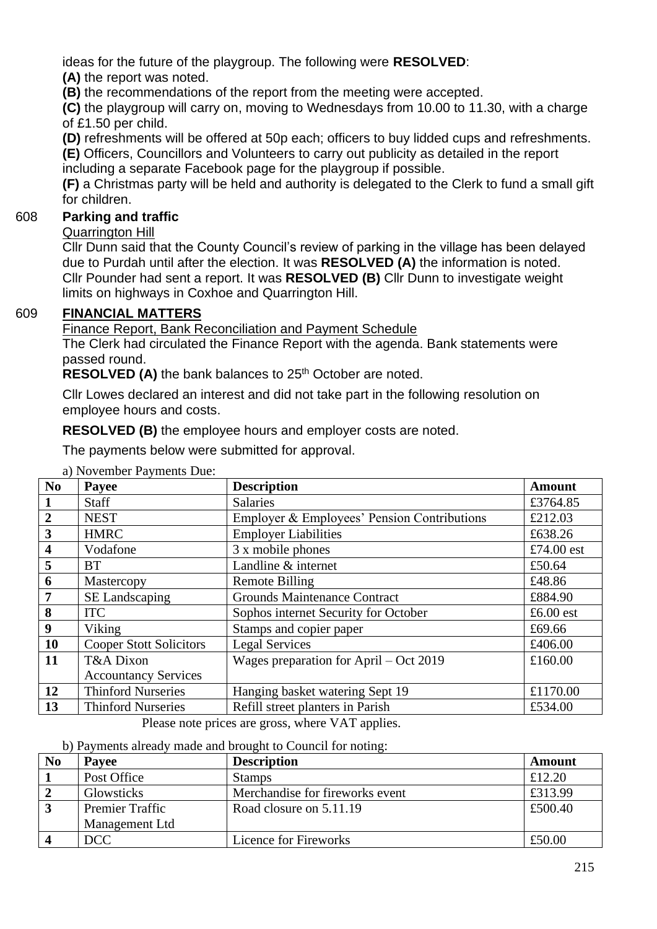ideas for the future of the playgroup. The following were **RESOLVED**:

**(A)** the report was noted.

**(B)** the recommendations of the report from the meeting were accepted.

**(C)** the playgroup will carry on, moving to Wednesdays from 10.00 to 11.30, with a charge of £1.50 per child.

**(D)** refreshments will be offered at 50p each; officers to buy lidded cups and refreshments. **(E)** Officers, Councillors and Volunteers to carry out publicity as detailed in the report

including a separate Facebook page for the playgroup if possible.

**(F)** a Christmas party will be held and authority is delegated to the Clerk to fund a small gift for children.

# 608 **Parking and traffic**

Quarrington Hill

Cllr Dunn said that the County Council's review of parking in the village has been delayed due to Purdah until after the election. It was **RESOLVED (A)** the information is noted. Cllr Pounder had sent a report. It was **RESOLVED (B)** Cllr Dunn to investigate weight limits on highways in Coxhoe and Quarrington Hill.

# 609 **FINANCIAL MATTERS**

Finance Report, Bank Reconciliation and Payment Schedule

The Clerk had circulated the Finance Report with the agenda. Bank statements were passed round.

**RESOLVED (A)** the bank balances to 25<sup>th</sup> October are noted.

Cllr Lowes declared an interest and did not take part in the following resolution on employee hours and costs.

**RESOLVED (B)** the employee hours and employer costs are noted.

The payments below were submitted for approval.

| N <sub>0</sub>          | Payee                                               | <b>Description</b>                          | <b>Amount</b> |  |  |
|-------------------------|-----------------------------------------------------|---------------------------------------------|---------------|--|--|
| $\mathbf{1}$            | <b>Staff</b>                                        | <b>Salaries</b>                             | £3764.85      |  |  |
| $\overline{2}$          | <b>NEST</b>                                         | Employer & Employees' Pension Contributions | £212.03       |  |  |
| $\mathbf{3}$            | <b>HMRC</b>                                         | <b>Employer Liabilities</b>                 | £638.26       |  |  |
| $\overline{\mathbf{4}}$ | Vodafone                                            | 3 x mobile phones                           | £74.00 $est$  |  |  |
| 5                       | <b>BT</b>                                           | Landline & internet                         | £50.64        |  |  |
| 6                       | Mastercopy                                          | <b>Remote Billing</b>                       | £48.86        |  |  |
| $\overline{7}$          | SE Landscaping                                      | <b>Grounds Maintenance Contract</b>         | £884.90       |  |  |
| 8                       | <b>ITC</b>                                          | Sophos internet Security for October        | £6.00 $est$   |  |  |
| 9                       | Viking                                              | Stamps and copier paper                     | £69.66        |  |  |
| <b>10</b>               | <b>Cooper Stott Solicitors</b>                      | <b>Legal Services</b>                       | £406.00       |  |  |
| 11                      | T&A Dixon                                           | Wages preparation for April $-$ Oct 2019    | £160.00       |  |  |
|                         | <b>Accountancy Services</b>                         |                                             |               |  |  |
| <b>12</b>               | <b>Thinford Nurseries</b>                           | Hanging basket watering Sept 19             | £1170.00      |  |  |
| 13                      | <b>Thinford Nurseries</b>                           | Refill street planters in Parish            | £534.00       |  |  |
|                         | $D0.088$ note prices are gross where $VAT$ enalises |                                             |               |  |  |

a) November Payments Due:

Please note prices are gross, where VAT applies.

b) Payments already made and brought to Council for noting:

| No | Payee                  | <b>Description</b>              | Amount  |
|----|------------------------|---------------------------------|---------|
|    | Post Office            | <b>Stamps</b>                   | £12.20  |
|    | Glowsticks             | Merchandise for fireworks event | £313.99 |
|    | <b>Premier Traffic</b> | Road closure on 5.11.19         | £500.40 |
|    | Management Ltd         |                                 |         |
|    | DCC                    | Licence for Fireworks           | £50.00  |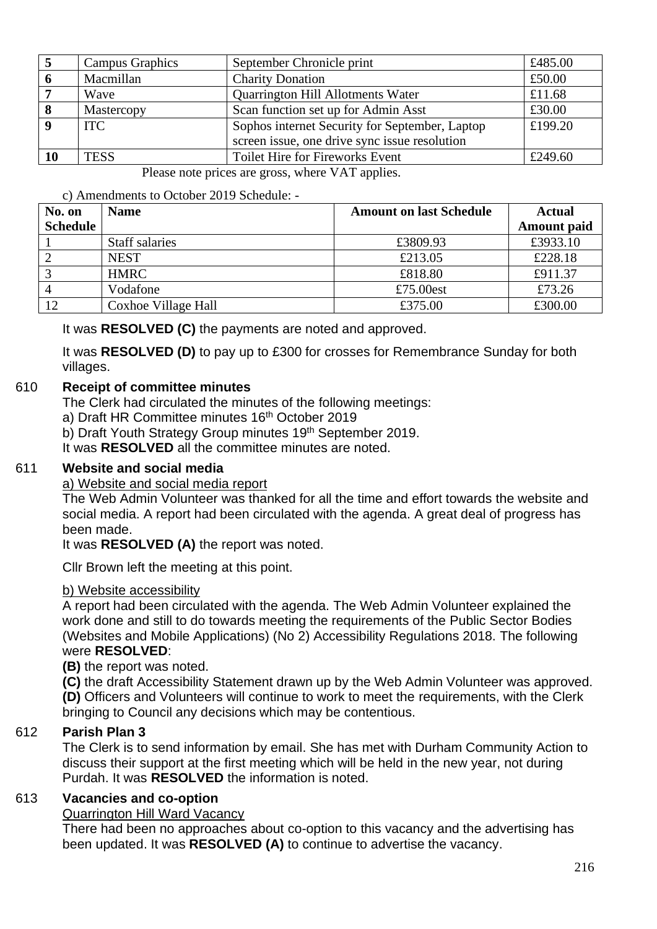|    | Campus Graphics | September Chronicle print                      | £485.00 |
|----|-----------------|------------------------------------------------|---------|
| -6 | Macmillan       | <b>Charity Donation</b>                        | £50.00  |
|    | Wave            | Quarrington Hill Allotments Water              | £11.68  |
| -8 | Mastercopy      | Scan function set up for Admin Asst            | £30.00  |
|    | ITC .           | Sophos internet Security for September, Laptop | £199.20 |
|    |                 | screen issue, one drive sync issue resolution  |         |
|    | <b>TESS</b>     | <b>Toilet Hire for Fireworks Event</b>         | £249.60 |

Please note prices are gross, where VAT applies.

#### c) Amendments to October 2019 Schedule: -

| No. on          | <b>Name</b>         | <b>Amount on last Schedule</b> | <b>Actual</b>      |
|-----------------|---------------------|--------------------------------|--------------------|
| <b>Schedule</b> |                     |                                | <b>Amount paid</b> |
|                 | Staff salaries      | £3809.93                       | £3933.10           |
|                 | <b>NEST</b>         | £213.05                        | £228.18            |
|                 | <b>HMRC</b>         | £818.80                        | £911.37            |
| $\overline{4}$  | Vodafone            | £75.00est                      | £73.26             |
|                 | Coxhoe Village Hall | £375.00                        | £300.00            |

It was **RESOLVED (C)** the payments are noted and approved.

It was **RESOLVED (D)** to pay up to £300 for crosses for Remembrance Sunday for both villages.

### 610 **Receipt of committee minutes**

The Clerk had circulated the minutes of the following meetings:

- a) Draft HR Committee minutes 16<sup>th</sup> October 2019
- b) Draft Youth Strategy Group minutes 19<sup>th</sup> September 2019.

It was **RESOLVED** all the committee minutes are noted.

#### 611 **Website and social media**

#### a) Website and social media report

The Web Admin Volunteer was thanked for all the time and effort towards the website and social media. A report had been circulated with the agenda. A great deal of progress has been made.

It was **RESOLVED (A)** the report was noted.

Cllr Brown left the meeting at this point.

#### b) Website accessibility

A report had been circulated with the agenda. The Web Admin Volunteer explained the work done and still to do towards meeting the requirements of the Public Sector Bodies (Websites and Mobile Applications) (No 2) Accessibility Regulations 2018. The following were **RESOLVED**:

**(B)** the report was noted.

**(C)** the draft Accessibility Statement drawn up by the Web Admin Volunteer was approved. **(D)** Officers and Volunteers will continue to work to meet the requirements, with the Clerk bringing to Council any decisions which may be contentious.

#### 612 **Parish Plan 3**

The Clerk is to send information by email. She has met with Durham Community Action to discuss their support at the first meeting which will be held in the new year, not during Purdah. It was **RESOLVED** the information is noted.

### 613 **Vacancies and co-option**

#### Quarrington Hill Ward Vacancy

There had been no approaches about co-option to this vacancy and the advertising has been updated. It was **RESOLVED (A)** to continue to advertise the vacancy.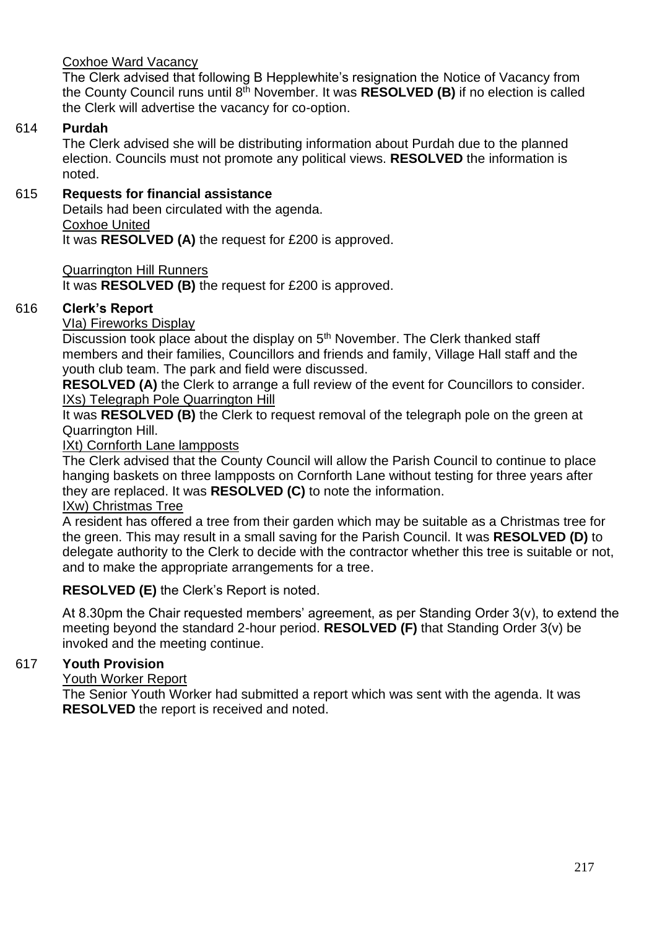### Coxhoe Ward Vacancy

The Clerk advised that following B Hepplewhite's resignation the Notice of Vacancy from the County Council runs until 8th November. It was **RESOLVED (B)** if no election is called the Clerk will advertise the vacancy for co-option.

### 614 **Purdah**

The Clerk advised she will be distributing information about Purdah due to the planned election. Councils must not promote any political views. **RESOLVED** the information is noted.

# 615 **Requests for financial assistance**

Details had been circulated with the agenda. Coxhoe United

It was **RESOLVED (A)** the request for £200 is approved.

Quarrington Hill Runners

It was **RESOLVED (B)** the request for £200 is approved.

# 616 **Clerk's Report**

VIa) Fireworks Display

Discussion took place about the display on 5<sup>th</sup> November. The Clerk thanked staff members and their families, Councillors and friends and family, Village Hall staff and the youth club team. The park and field were discussed.

**RESOLVED (A)** the Clerk to arrange a full review of the event for Councillors to consider. IXs) Telegraph Pole Quarrington Hill

It was **RESOLVED (B)** the Clerk to request removal of the telegraph pole on the green at Quarrington Hill.

IXt) Cornforth Lane lampposts

The Clerk advised that the County Council will allow the Parish Council to continue to place hanging baskets on three lampposts on Cornforth Lane without testing for three years after they are replaced. It was **RESOLVED (C)** to note the information.

### IXw) Christmas Tree

A resident has offered a tree from their garden which may be suitable as a Christmas tree for the green. This may result in a small saving for the Parish Council. It was **RESOLVED (D)** to delegate authority to the Clerk to decide with the contractor whether this tree is suitable or not, and to make the appropriate arrangements for a tree.

# **RESOLVED (E)** the Clerk's Report is noted.

At 8.30pm the Chair requested members' agreement, as per Standing Order 3(v), to extend the meeting beyond the standard 2-hour period. **RESOLVED (F)** that Standing Order 3(v) be invoked and the meeting continue.

# 617 **Youth Provision**

#### Youth Worker Report

The Senior Youth Worker had submitted a report which was sent with the agenda. It was **RESOLVED** the report is received and noted.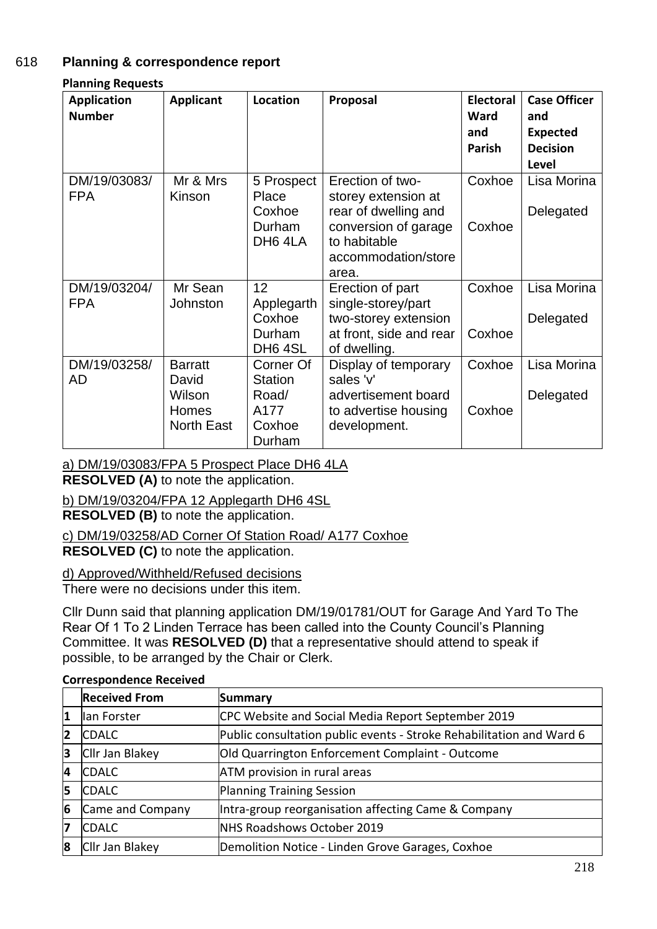# 618 **Planning & correspondence report**

**Planning Requests**

| <b>Application</b><br><b>Number</b> | <b>Applicant</b>                                                | <b>Location</b>                                           | Proposal                                                                                                                                | <b>Electoral</b><br>Ward<br>and<br><b>Parish</b> | <b>Case Officer</b><br>and<br><b>Expected</b><br><b>Decision</b><br>Level |
|-------------------------------------|-----------------------------------------------------------------|-----------------------------------------------------------|-----------------------------------------------------------------------------------------------------------------------------------------|--------------------------------------------------|---------------------------------------------------------------------------|
| DM/19/03083/<br><b>FPA</b>          | Mr & Mrs<br>Kinson                                              | 5 Prospect<br>Place<br>Coxhoe<br>Durham<br>DH6 4LA        | Erection of two-<br>storey extension at<br>rear of dwelling and<br>conversion of garage<br>to habitable<br>accommodation/store<br>area. | Coxhoe<br>Coxhoe                                 | Lisa Morina<br>Delegated                                                  |
| DM/19/03204/<br><b>FPA</b>          | Mr Sean<br>Johnston                                             | 12<br>Applegarth<br>Coxhoe<br>Durham<br>DH6 4SL           | Erection of part<br>single-storey/part<br>two-storey extension<br>at front, side and rear<br>of dwelling.                               | Coxhoe<br>Coxhoe                                 | Lisa Morina<br>Delegated                                                  |
| DM/19/03258/<br>AD                  | <b>Barratt</b><br>David<br>Wilson<br>Homes<br><b>North East</b> | Corner Of<br>Station<br>Road/<br>A177<br>Coxhoe<br>Durham | Display of temporary<br>sales 'v'<br>advertisement board<br>to advertise housing<br>development.                                        | Coxhoe<br>Coxhoe                                 | Lisa Morina<br>Delegated                                                  |

a) DM/19/03083/FPA 5 Prospect Place DH6 4LA

**RESOLVED (A)** to note the application.

b) DM/19/03204/FPA 12 Applegarth DH6 4SL

**RESOLVED (B)** to note the application.

c) DM/19/03258/AD Corner Of Station Road/ A177 Coxhoe

**RESOLVED (C)** to note the application.

d) Approved/Withheld/Refused decisions

There were no decisions under this item.

Cllr Dunn said that planning application DM/19/01781/OUT for Garage And Yard To The Rear Of 1 To 2 Linden Terrace has been called into the County Council's Planning Committee. It was **RESOLVED (D)** that a representative should attend to speak if possible, to be arranged by the Chair or Clerk.

|    | <b>Received From</b> | Summary                                                              |
|----|----------------------|----------------------------------------------------------------------|
| 1  | lan Forster          | CPC Website and Social Media Report September 2019                   |
| 12 | <b>CDALC</b>         | Public consultation public events - Stroke Rehabilitation and Ward 6 |
| 3  | Cllr Jan Blakey      | Old Quarrington Enforcement Complaint - Outcome                      |
| 14 | <b>CDALC</b>         | ATM provision in rural areas                                         |
| 15 | <b>CDALC</b>         | Planning Training Session                                            |
| 6  | Came and Company     | Intra-group reorganisation affecting Came & Company                  |
| 17 | <b>CDALC</b>         | NHS Roadshows October 2019                                           |
| 8  | Cllr Jan Blakey      | Demolition Notice - Linden Grove Garages, Coxhoe                     |

#### **Correspondence Received**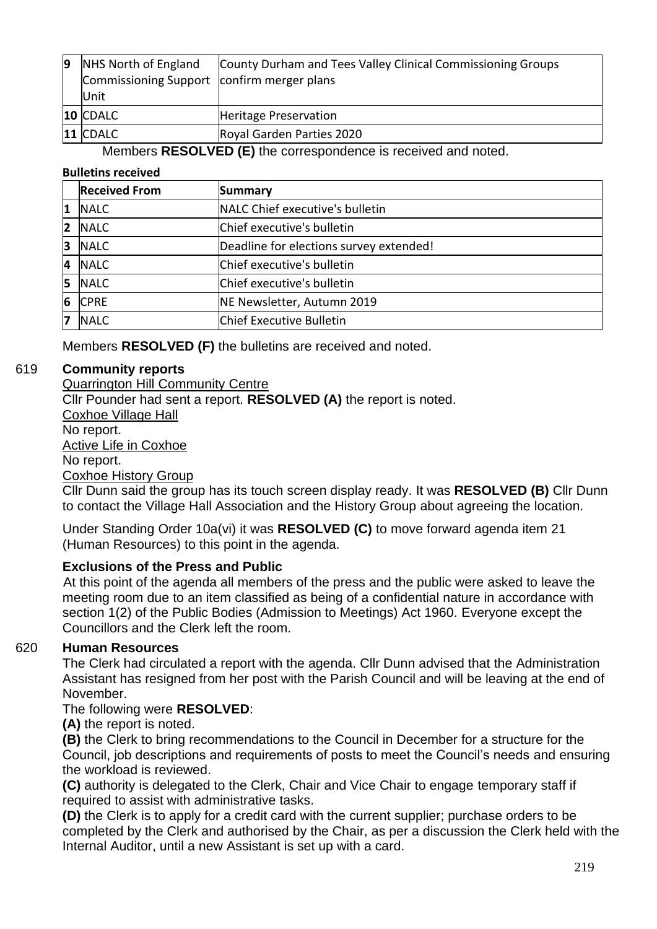| 19 | NHS North of England                       | County Durham and Tees Valley Clinical Commissioning Groups |
|----|--------------------------------------------|-------------------------------------------------------------|
|    | Commissioning Support confirm merger plans |                                                             |
|    | <b>Unit</b>                                |                                                             |
|    | 10 CDALC                                   | Heritage Preservation                                       |
|    | $11$ CDALC                                 | Royal Garden Parties 2020                                   |

### Members **RESOLVED (E)** the correspondence is received and noted.

#### **Bulletins received**

|                | <b>Received From</b> | Summary                                 |
|----------------|----------------------|-----------------------------------------|
| 1              | <b>NALC</b>          | NALC Chief executive's bulletin         |
| $\overline{2}$ | <b>NALC</b>          | Chief executive's bulletin              |
| 3              | <b>NALC</b>          | Deadline for elections survey extended! |
| 4              | <b>NALC</b>          | Chief executive's bulletin              |
| 15             | <b>NALC</b>          | Chief executive's bulletin              |
| 6              | <b>CPRE</b>          | NE Newsletter, Autumn 2019              |
| 17             | <b>NALC</b>          | Chief Executive Bulletin                |

Members **RESOLVED (F)** the bulletins are received and noted.

# 619 **Community reports**

Quarrington Hill Community Centre Cllr Pounder had sent a report. **RESOLVED (A)** the report is noted. Coxhoe Village Hall No report. Active Life in Coxhoe No report. Coxhoe History Group

Cllr Dunn said the group has its touch screen display ready. It was **RESOLVED (B)** Cllr Dunn to contact the Village Hall Association and the History Group about agreeing the location.

Under Standing Order 10a(vi) it was **RESOLVED (C)** to move forward agenda item 21 (Human Resources) to this point in the agenda.

# **Exclusions of the Press and Public**

At this point of the agenda all members of the press and the public were asked to leave the meeting room due to an item classified as being of a confidential nature in accordance with section 1(2) of the Public Bodies (Admission to Meetings) Act 1960. Everyone except the Councillors and the Clerk left the room.

# 620 **Human Resources**

The Clerk had circulated a report with the agenda. Cllr Dunn advised that the Administration Assistant has resigned from her post with the Parish Council and will be leaving at the end of November.

# The following were **RESOLVED**:

**(A)** the report is noted.

**(B)** the Clerk to bring recommendations to the Council in December for a structure for the Council, job descriptions and requirements of posts to meet the Council's needs and ensuring the workload is reviewed.

**(C)** authority is delegated to the Clerk, Chair and Vice Chair to engage temporary staff if required to assist with administrative tasks.

**(D)** the Clerk is to apply for a credit card with the current supplier; purchase orders to be completed by the Clerk and authorised by the Chair, as per a discussion the Clerk held with the Internal Auditor, until a new Assistant is set up with a card.